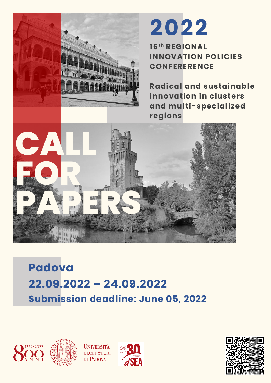

# **Padova 22.09.2022 – 24.09.2022 Submission deadline: June 05, 2022**





**UNIVERSITÀ DEGLI STUDI** DI PADOVA



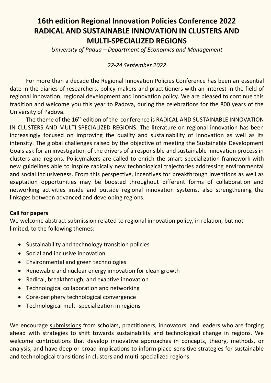# **16th edition Regional Innovation Policies Conference 2022 RADICAL AND SUSTAINABLE INNOVATION IN CLUSTERS AND MULTI-SPECIALIZED REGIONS**

*University of Padua – Department of Economics and Management*

## *22-24 September 2022*

For more than a decade the Regional Innovation Policies Conference has been an essential date in the diaries of researchers, policy-makers and practitioners with an interest in the field of regional innovation, regional development and innovation policy. We are pleased to continue this tradition and welcome you this year to Padova, during the celebrations for the 800 years of the University of Padova.

The theme of the 16<sup>th</sup> edition of the conference is RADICAL AND SUSTAINABLE INNOVATION IN CLUSTERS AND MULTI-SPECIALIZED REGIONS. The literature on regional innovation has been increasingly focused on improving the quality and sustainability of innovation as well as its intensity. The global challenges raised by the objective of meeting the Sustainable Development Goals ask for an investigation of the drivers of a responsible and sustainable innovation process in clusters and regions. Policymakers are called to enrich the smart specialization framework with new guidelines able to inspire radically new technological trajectories addressing environmental and social inclusiveness. From this perspective, incentives for breakthrough inventions as well as exaptation opportunities may be boosted throughout different forms of collaboration and networking activities inside and outside regional innovation systems, also strengthening the linkages between advanced and developing regions.

#### **Call for papers**

We welcome abstract submission related to regional innovation policy, in relation, but not limited, to the following themes:

- Sustainability and technology transition policies
- Social and inclusive innovation
- Environmental and green technologies
- Renewable and nuclear energy innovation for clean growth
- Radical, breakthrough, and exaptive innovation
- Technological collaboration and networking
- Core-periphery technological convergence
- Technological multi-specialization in regions

We encourage [submissions](https://www.economia.unipd.it/en/paper-submission-regional-innovation-policies-conference-2022) from scholars, practitioners, innovators, and leaders who are forging ahead with strategies to shift towards sustainability and technological change in regions. We welcome contributions that develop innovative approaches in concepts, theory, methods, or analysis, and have deep or broad implications to inform place-sensitive strategies for sustainable and technological transitions in clusters and multi-specialized regions.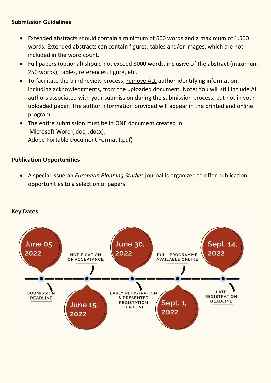#### **Submission Guidelines**

- Extended abstracts should contain a minimum of 500 words and a maximum of 1.500 words. Extended abstracts can contain figures, tables and/or images, which are not included in the word count.
- Full papers (optional) should not exceed 8000 words, inclusive of the abstract (maximum 250 words), tables, references, figure, etc.
- To facilitate the blind review process, remove ALL author-identifying information, including acknowledgments, from the uploaded document. Note: You will still include ALL authors associated with your submission during the submission process, but not in your uploaded paper. The author information provided will appear in the printed and online program.
- The entire submission must be in ONE document created in: Microsoft Word (.doc, .docx); Adobe Portable Document Format (.pdf)

#### **Publication Opportunities**

• A special issue on *European Planning Studies* journal is organized to offer publication opportunities to a selection of papers.



#### **Key Dates**